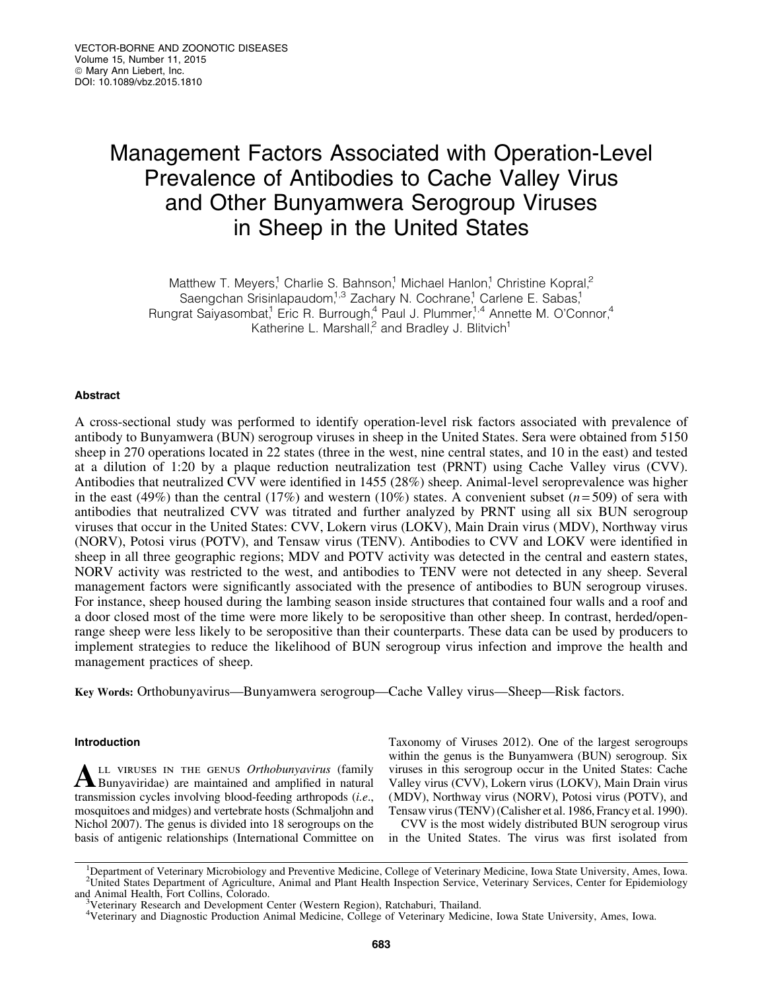# Management Factors Associated with Operation-Level Prevalence of Antibodies to Cache Valley Virus and Other Bunyamwera Serogroup Viruses in Sheep in the United States

Matthew T. Meyers,<sup>1</sup> Charlie S. Bahnson,<sup>1</sup> Michael Hanlon,<sup>1</sup> Christine Kopral,<sup>2</sup> Saengchan Srisinlapaudom,<sup>1,3</sup> Zachary N. Cochrane,<sup>1</sup> Carlene E. Sabas,<sup>1</sup> Rungrat Saiyasombat,<sup>1</sup> Eric R. Burrough,<sup>4</sup> Paul J. Plummer,<sup>1,4</sup> Annette M. O'Connor,<sup>4</sup> Katherine L. Marshall,<sup>2</sup> and Bradley J. Blitvich<sup>1</sup>

# Abstract

A cross-sectional study was performed to identify operation-level risk factors associated with prevalence of antibody to Bunyamwera (BUN) serogroup viruses in sheep in the United States. Sera were obtained from 5150 sheep in 270 operations located in 22 states (three in the west, nine central states, and 10 in the east) and tested at a dilution of 1:20 by a plaque reduction neutralization test (PRNT) using Cache Valley virus (CVV). Antibodies that neutralized CVV were identified in 1455 (28%) sheep. Animal-level seroprevalence was higher in the east (49%) than the central (17%) and western (10%) states. A convenient subset  $(n=509)$  of sera with antibodies that neutralized CVV was titrated and further analyzed by PRNT using all six BUN serogroup viruses that occur in the United States: CVV, Lokern virus (LOKV), Main Drain virus (MDV), Northway virus (NORV), Potosi virus (POTV), and Tensaw virus (TENV). Antibodies to CVV and LOKV were identified in sheep in all three geographic regions; MDV and POTV activity was detected in the central and eastern states, NORV activity was restricted to the west, and antibodies to TENV were not detected in any sheep. Several management factors were significantly associated with the presence of antibodies to BUN serogroup viruses. For instance, sheep housed during the lambing season inside structures that contained four walls and a roof and a door closed most of the time were more likely to be seropositive than other sheep. In contrast, herded/openrange sheep were less likely to be seropositive than their counterparts. These data can be used by producers to implement strategies to reduce the likelihood of BUN serogroup virus infection and improve the health and management practices of sheep.

Key Words: Orthobunyavirus—Bunyamwera serogroup—Cache Valley virus—Sheep—Risk factors.

## Introduction

All viruses in the genus *Orthobunyavirus* (family Bunyaviridae) are maintained and amplified in natural transmission cycles involving blood-feeding arthropods (*i.e*., mosquitoes and midges) and vertebrate hosts (Schmaljohn and Nichol 2007). The genus is divided into 18 serogroups on the basis of antigenic relationships (International Committee on Taxonomy of Viruses 2012). One of the largest serogroups within the genus is the Bunyamwera (BUN) serogroup. Six viruses in this serogroup occur in the United States: Cache Valley virus (CVV), Lokern virus (LOKV), Main Drain virus (MDV), Northway virus (NORV), Potosi virus (POTV), and Tensaw virus (TENV) (Calisher et al. 1986, Francy et al. 1990).

CVV is the most widely distributed BUN serogroup virus in the United States. The virus was first isolated from

<sup>&</sup>lt;sup>1</sup>Department of Veterinary Microbiology and Preventive Medicine, College of Veterinary Medicine, Iowa State University, Ames, Iowa. 2 United States Department of Agriculture, Animal and Plant Health Inspection Service, Veterinary Services, Center for Epidemiology and Animal Health, Fort Collins, Colorado.

Veterinary Research and Development Center (Western Region), Ratchaburi, Thailand.

<sup>4</sup> Veterinary and Diagnostic Production Animal Medicine, College of Veterinary Medicine, Iowa State University, Ames, Iowa.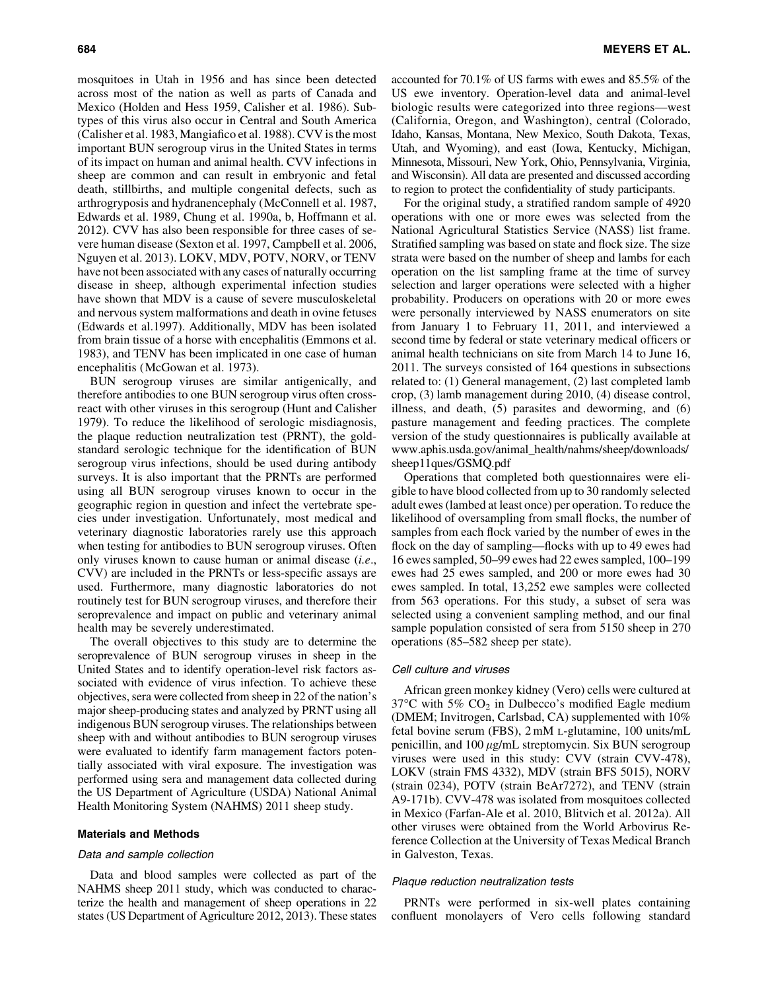mosquitoes in Utah in 1956 and has since been detected across most of the nation as well as parts of Canada and Mexico (Holden and Hess 1959, Calisher et al. 1986). Subtypes of this virus also occur in Central and South America (Calisher et al. 1983, Mangiafico et al. 1988). CVV is the most important BUN serogroup virus in the United States in terms of its impact on human and animal health. CVV infections in sheep are common and can result in embryonic and fetal death, stillbirths, and multiple congenital defects, such as arthrogryposis and hydranencephaly (McConnell et al. 1987, Edwards et al. 1989, Chung et al. 1990a, b, Hoffmann et al. 2012). CVV has also been responsible for three cases of severe human disease (Sexton et al. 1997, Campbell et al. 2006, Nguyen et al. 2013). LOKV, MDV, POTV, NORV, or TENV have not been associated with any cases of naturally occurring disease in sheep, although experimental infection studies have shown that MDV is a cause of severe musculoskeletal and nervous system malformations and death in ovine fetuses (Edwards et al.1997). Additionally, MDV has been isolated from brain tissue of a horse with encephalitis (Emmons et al. 1983), and TENV has been implicated in one case of human encephalitis (McGowan et al. 1973).

BUN serogroup viruses are similar antigenically, and therefore antibodies to one BUN serogroup virus often crossreact with other viruses in this serogroup (Hunt and Calisher 1979). To reduce the likelihood of serologic misdiagnosis, the plaque reduction neutralization test (PRNT), the goldstandard serologic technique for the identification of BUN serogroup virus infections, should be used during antibody surveys. It is also important that the PRNTs are performed using all BUN serogroup viruses known to occur in the geographic region in question and infect the vertebrate species under investigation. Unfortunately, most medical and veterinary diagnostic laboratories rarely use this approach when testing for antibodies to BUN serogroup viruses. Often only viruses known to cause human or animal disease (*i.e*., CVV) are included in the PRNTs or less-specific assays are used. Furthermore, many diagnostic laboratories do not routinely test for BUN serogroup viruses, and therefore their seroprevalence and impact on public and veterinary animal health may be severely underestimated.

The overall objectives to this study are to determine the seroprevalence of BUN serogroup viruses in sheep in the United States and to identify operation-level risk factors associated with evidence of virus infection. To achieve these objectives, sera were collected from sheep in 22 of the nation's major sheep-producing states and analyzed by PRNT using all indigenous BUN serogroup viruses. The relationships between sheep with and without antibodies to BUN serogroup viruses were evaluated to identify farm management factors potentially associated with viral exposure. The investigation was performed using sera and management data collected during the US Department of Agriculture (USDA) National Animal Health Monitoring System (NAHMS) 2011 sheep study.

#### Materials and Methods

#### Data and sample collection

Data and blood samples were collected as part of the NAHMS sheep 2011 study, which was conducted to characterize the health and management of sheep operations in 22 states (US Department of Agriculture 2012, 2013). These states accounted for 70.1% of US farms with ewes and 85.5% of the US ewe inventory. Operation-level data and animal-level biologic results were categorized into three regions—west (California, Oregon, and Washington), central (Colorado, Idaho, Kansas, Montana, New Mexico, South Dakota, Texas, Utah, and Wyoming), and east (Iowa, Kentucky, Michigan, Minnesota, Missouri, New York, Ohio, Pennsylvania, Virginia, and Wisconsin). All data are presented and discussed according to region to protect the confidentiality of study participants.

For the original study, a stratified random sample of 4920 operations with one or more ewes was selected from the National Agricultural Statistics Service (NASS) list frame. Stratified sampling was based on state and flock size. The size strata were based on the number of sheep and lambs for each operation on the list sampling frame at the time of survey selection and larger operations were selected with a higher probability. Producers on operations with 20 or more ewes were personally interviewed by NASS enumerators on site from January 1 to February 11, 2011, and interviewed a second time by federal or state veterinary medical officers or animal health technicians on site from March 14 to June 16, 2011. The surveys consisted of 164 questions in subsections related to: (1) General management, (2) last completed lamb crop, (3) lamb management during 2010, (4) disease control, illness, and death, (5) parasites and deworming, and (6) pasture management and feeding practices. The complete version of the study questionnaires is publically available at www.aphis.usda.gov/animal\_health/nahms/sheep/downloads/ sheep11ques/GSMQ.pdf

Operations that completed both questionnaires were eligible to have blood collected from up to 30 randomly selected adult ewes (lambed at least once) per operation. To reduce the likelihood of oversampling from small flocks, the number of samples from each flock varied by the number of ewes in the flock on the day of sampling—flocks with up to 49 ewes had 16 ewes sampled, 50–99 ewes had 22 ewes sampled, 100–199 ewes had 25 ewes sampled, and 200 or more ewes had 30 ewes sampled. In total, 13,252 ewe samples were collected from 563 operations. For this study, a subset of sera was selected using a convenient sampling method, and our final sample population consisted of sera from 5150 sheep in 270 operations (85–582 sheep per state).

#### Cell culture and viruses

African green monkey kidney (Vero) cells were cultured at 37 $\degree$ C with 5% CO<sub>2</sub> in Dulbecco's modified Eagle medium (DMEM; Invitrogen, Carlsbad, CA) supplemented with 10% fetal bovine serum (FBS), 2 mM l-glutamine, 100 units/mL penicillin, and  $100 \mu g/mL$  streptomycin. Six BUN serogroup viruses were used in this study: CVV (strain CVV-478), LOKV (strain FMS 4332), MDV (strain BFS 5015), NORV (strain 0234), POTV (strain BeAr7272), and TENV (strain A9-171b). CVV-478 was isolated from mosquitoes collected in Mexico (Farfan-Ale et al. 2010, Blitvich et al. 2012a). All other viruses were obtained from the World Arbovirus Reference Collection at the University of Texas Medical Branch in Galveston, Texas.

#### Plaque reduction neutralization tests

PRNTs were performed in six-well plates containing confluent monolayers of Vero cells following standard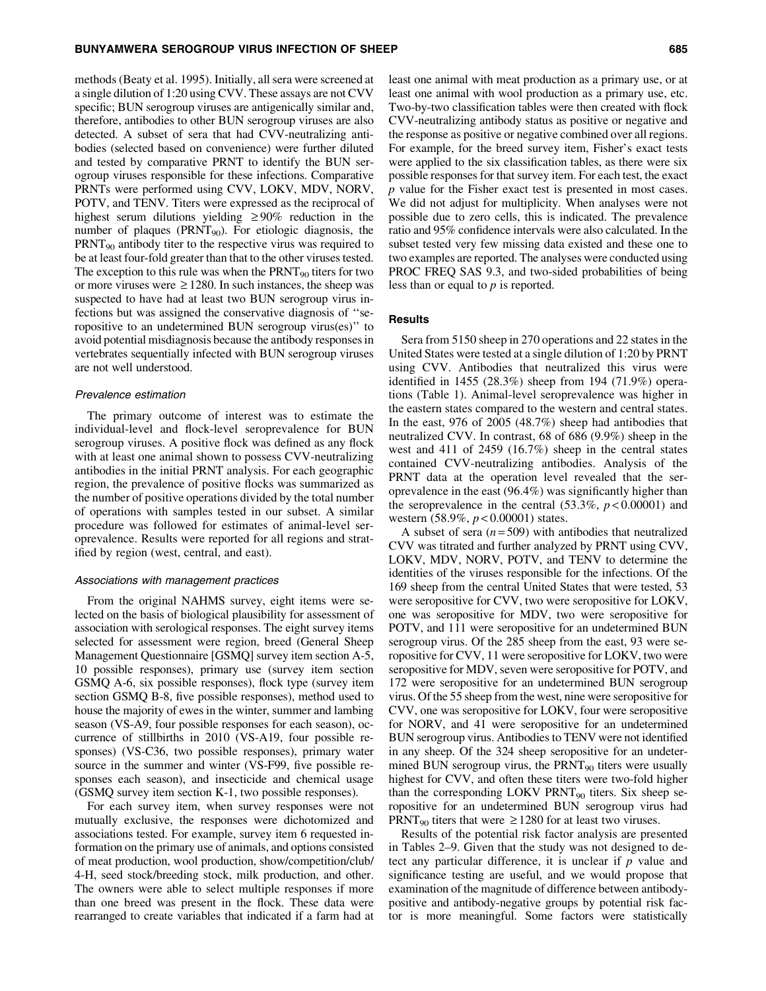#### BUNYAMWERA SEROGROUP VIRUS INFECTION OF SHEEP 685

methods (Beaty et al. 1995). Initially, all sera were screened at a single dilution of 1:20 using CVV. These assays are not CVV specific; BUN serogroup viruses are antigenically similar and, therefore, antibodies to other BUN serogroup viruses are also detected. A subset of sera that had CVV-neutralizing antibodies (selected based on convenience) were further diluted and tested by comparative PRNT to identify the BUN serogroup viruses responsible for these infections. Comparative PRNTs were performed using CVV, LOKV, MDV, NORV, POTV, and TENV. Titers were expressed as the reciprocal of highest serum dilutions yielding  $\geq 90\%$  reduction in the number of plaques ( $PRNT_{90}$ ). For etiologic diagnosis, the  $PRNT<sub>90</sub>$  antibody titer to the respective virus was required to be at least four-fold greater than that to the other viruses tested. The exception to this rule was when the  $\text{PRNT}_{90}$  titers for two or more viruses were  $\geq 1280$ . In such instances, the sheep was suspected to have had at least two BUN serogroup virus infections but was assigned the conservative diagnosis of ''seropositive to an undetermined BUN serogroup virus(es)'' to avoid potential misdiagnosis because the antibody responses in vertebrates sequentially infected with BUN serogroup viruses are not well understood.

#### Prevalence estimation

The primary outcome of interest was to estimate the individual-level and flock-level seroprevalence for BUN serogroup viruses. A positive flock was defined as any flock with at least one animal shown to possess CVV-neutralizing antibodies in the initial PRNT analysis. For each geographic region, the prevalence of positive flocks was summarized as the number of positive operations divided by the total number of operations with samples tested in our subset. A similar procedure was followed for estimates of animal-level seroprevalence. Results were reported for all regions and stratified by region (west, central, and east).

#### Associations with management practices

From the original NAHMS survey, eight items were selected on the basis of biological plausibility for assessment of association with serological responses. The eight survey items selected for assessment were region, breed (General Sheep Management Questionnaire [GSMQ] survey item section A-5, 10 possible responses), primary use (survey item section GSMQ A-6, six possible responses), flock type (survey item section GSMQ B-8, five possible responses), method used to house the majority of ewes in the winter, summer and lambing season (VS-A9, four possible responses for each season), occurrence of stillbirths in 2010 (VS-A19, four possible responses) (VS-C36, two possible responses), primary water source in the summer and winter (VS-F99, five possible responses each season), and insecticide and chemical usage (GSMQ survey item section K-1, two possible responses).

For each survey item, when survey responses were not mutually exclusive, the responses were dichotomized and associations tested. For example, survey item 6 requested information on the primary use of animals, and options consisted of meat production, wool production, show/competition/club/ 4-H, seed stock/breeding stock, milk production, and other. The owners were able to select multiple responses if more than one breed was present in the flock. These data were rearranged to create variables that indicated if a farm had at

least one animal with meat production as a primary use, or at least one animal with wool production as a primary use, etc. Two-by-two classification tables were then created with flock CVV-neutralizing antibody status as positive or negative and the response as positive or negative combined over all regions. For example, for the breed survey item, Fisher's exact tests were applied to the six classification tables, as there were six possible responses for that survey item. For each test, the exact *p* value for the Fisher exact test is presented in most cases. We did not adjust for multiplicity. When analyses were not possible due to zero cells, this is indicated. The prevalence ratio and 95% confidence intervals were also calculated. In the subset tested very few missing data existed and these one to two examples are reported. The analyses were conducted using PROC FREQ SAS 9.3, and two-sided probabilities of being less than or equal to *p* is reported.

### **Results**

Sera from 5150 sheep in 270 operations and 22 states in the United States were tested at a single dilution of 1:20 by PRNT using CVV. Antibodies that neutralized this virus were identified in 1455 (28.3%) sheep from 194 (71.9%) operations (Table 1). Animal-level seroprevalence was higher in the eastern states compared to the western and central states. In the east, 976 of 2005 (48.7%) sheep had antibodies that neutralized CVV. In contrast, 68 of 686 (9.9%) sheep in the west and 411 of 2459 (16.7%) sheep in the central states contained CVV-neutralizing antibodies. Analysis of the PRNT data at the operation level revealed that the seroprevalence in the east (96.4%) was significantly higher than the seroprevalence in the central (53.3%, *p* < 0.00001) and western (58.9%, *p* < 0.00001) states.

A subset of sera  $(n=509)$  with antibodies that neutralized CVV was titrated and further analyzed by PRNT using CVV, LOKV, MDV, NORV, POTV, and TENV to determine the identities of the viruses responsible for the infections. Of the 169 sheep from the central United States that were tested, 53 were seropositive for CVV, two were seropositive for LOKV, one was seropositive for MDV, two were seropositive for POTV, and 111 were seropositive for an undetermined BUN serogroup virus. Of the 285 sheep from the east, 93 were seropositive for CVV, 11 were seropositive for LOKV, two were seropositive for MDV, seven were seropositive for POTV, and 172 were seropositive for an undetermined BUN serogroup virus. Of the 55 sheep from the west, nine were seropositive for CVV, one was seropositive for LOKV, four were seropositive for NORV, and 41 were seropositive for an undetermined BUN serogroup virus. Antibodies to TENV were not identified in any sheep. Of the 324 sheep seropositive for an undetermined BUN serogroup virus, the  $PRNT_{90}$  titers were usually highest for CVV, and often these titers were two-fold higher than the corresponding LOKV PRNT $_{90}$  titers. Six sheep seropositive for an undetermined BUN serogroup virus had PRNT<sub>90</sub> titers that were  $\geq$  1280 for at least two viruses.

Results of the potential risk factor analysis are presented in Tables 2–9. Given that the study was not designed to detect any particular difference, it is unclear if *p* value and significance testing are useful, and we would propose that examination of the magnitude of difference between antibodypositive and antibody-negative groups by potential risk factor is more meaningful. Some factors were statistically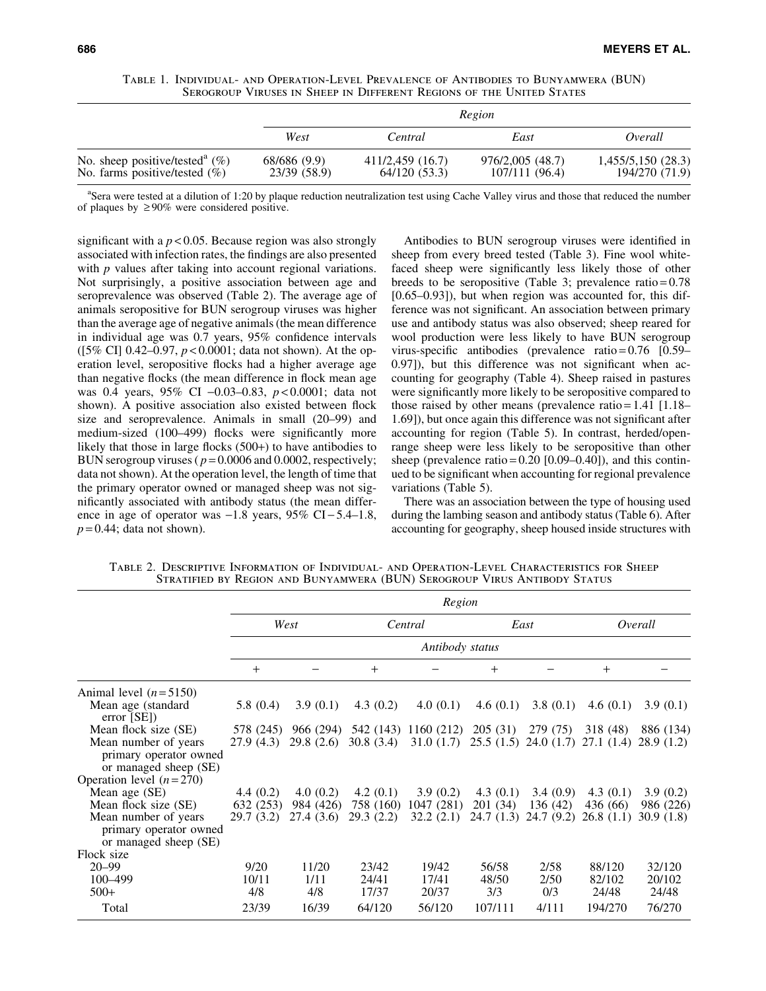|  | TABLE 1. INDIVIDUAL- AND OPERATION-LEVEL PREVALENCE OF ANTIBODIES TO BUNYAMWERA (BUN) |  |  |
|--|---------------------------------------------------------------------------------------|--|--|
|  | SEROGROUP VIRUSES IN SHEEP IN DIFFERENT REGIONS OF THE UNITED STATES                  |  |  |

|                                                                                   |                              |                                   | Region                             |                                      |
|-----------------------------------------------------------------------------------|------------------------------|-----------------------------------|------------------------------------|--------------------------------------|
|                                                                                   | West                         | Central                           | East                               | Overall                              |
| No. sheep positive/tested <sup>a</sup> $(\%)$<br>No. farms positive/tested $(\%)$ | 68/686 (9.9)<br>23/39 (58.9) | 411/2,459 (16.7)<br>64/120 (53.3) | 976/2,005 (48.7)<br>107/111 (96.4) | 1,455/5,150 (28.3)<br>194/270 (71.9) |

<sup>a</sup>Sera were tested at a dilution of 1:20 by plaque reduction neutralization test using Cache Valley virus and those that reduced the number of plaques by  $\geq 90\%$  were considered positive.

significant with a *p* < 0.05. Because region was also strongly associated with infection rates, the findings are also presented with *p* values after taking into account regional variations. Not surprisingly, a positive association between age and seroprevalence was observed (Table 2). The average age of animals seropositive for BUN serogroup viruses was higher than the average age of negative animals (the mean difference in individual age was 0.7 years, 95% confidence intervals ([5% CI] 0.42–0.97, *p* < 0.0001; data not shown). At the operation level, seropositive flocks had a higher average age than negative flocks (the mean difference in flock mean age was 0.4 years, 95% CI -0.03–0.83, *p* < 0.0001; data not shown). A positive association also existed between flock size and seroprevalence. Animals in small (20–99) and medium-sized (100–499) flocks were significantly more likely that those in large flocks (500+) to have antibodies to BUN serogroup viruses ( $p = 0.0006$  and 0.0002, respectively; data not shown). At the operation level, the length of time that the primary operator owned or managed sheep was not significantly associated with antibody status (the mean difference in age of operator was  $-1.8$  years, 95% CI $-5.4$ -1.8,  $p = 0.44$ ; data not shown).

Antibodies to BUN serogroup viruses were identified in sheep from every breed tested (Table 3). Fine wool whitefaced sheep were significantly less likely those of other breeds to be seropositive (Table 3; prevalence ratio =  $0.78$ ) [0.65–0.93]), but when region was accounted for, this difference was not significant. An association between primary use and antibody status was also observed; sheep reared for wool production were less likely to have BUN serogroup virus-specific antibodies (prevalence ratio = 0.76 [0.59– 0.97]), but this difference was not significant when accounting for geography (Table 4). Sheep raised in pastures were significantly more likely to be seropositive compared to those raised by other means (prevalence ratio =  $1.41$  [ $1.18-$ 1.69]), but once again this difference was not significant after accounting for region (Table 5). In contrast, herded/openrange sheep were less likely to be seropositive than other sheep (prevalence ratio =  $0.20$  [ $0.09-0.40$ ]), and this continued to be significant when accounting for regional prevalence variations (Table 5).

There was an association between the type of housing used during the lambing season and antibody status (Table 6). After accounting for geography, sheep housed inside structures with

|                                                                         |                          |                       |                       | Region                |                         |                          |                                     |                        |
|-------------------------------------------------------------------------|--------------------------|-----------------------|-----------------------|-----------------------|-------------------------|--------------------------|-------------------------------------|------------------------|
|                                                                         |                          | West                  |                       | Central               |                         | East                     |                                     | Overall                |
|                                                                         |                          |                       |                       | Antibody status       |                         |                          |                                     |                        |
|                                                                         | $^{+}$                   |                       | $^{+}$                |                       | $^{+}$                  |                          | $^{+}$                              |                        |
| Animal level $(n=5150)$                                                 |                          |                       |                       |                       |                         |                          |                                     |                        |
| Mean age (standard<br>error [SE]                                        | 5.8(0.4)                 | 3.9(0.1)              | 4.3 $(0.2)$           | 4.0(0.1)              | 4.6 $(0.1)$             | 3.8(0.1)                 | 4.6 $(0.1)$                         | 3.9(0.1)               |
| Mean flock size (SE)                                                    | 578 (245)                | 966 (294)             |                       | 542 (143) 1160 (212)  | 205(31)                 | 279 (75)                 | 318 (48)                            | 886 (134)              |
| Mean number of years<br>primary operator owned<br>or managed sheep (SE) | 27.9(4.3)                | 29.8(2.6)             | 30.8(3.4)             | 31.0(1.7)             |                         |                          | $25.5(1.5)$ $24.0(1.7)$ $27.1(1.4)$ | 28.9(1.2)              |
| Operation level $(n=270)$                                               |                          |                       |                       |                       |                         |                          |                                     |                        |
| Mean age (SE)<br>Mean flock size (SE)                                   | 4.4 $(0.2)$<br>632 (253) | 4.0(0.2)<br>984 (426) | 4.2(0.1)<br>758 (160) | 3.9(0.2)<br>1047(281) | 4.3 $(0.1)$<br>201 (34) | 3.4(0.9)<br>136 (42)     | 4.3 $(0.1)$<br>436 (66)             | 3.9(0.2)<br>986 (226)  |
| Mean number of years<br>primary operator owned<br>or managed sheep (SE) | 29.7(3.2)                | 27.4 (3.6)            | 29.3(2.2)             | 32.2(2.1)             |                         | $24.7(1.3)$ 24.7 $(9.2)$ |                                     | $26.8(1.1)$ 30.9 (1.8) |
| Flock size                                                              |                          |                       |                       |                       |                         |                          |                                     |                        |
| $20 - 99$                                                               | 9/20                     | 11/20                 | 23/42                 | 19/42                 | 56/58                   | 2/58                     | 88/120                              | 32/120                 |
| 100-499                                                                 | 10/11                    | 1/11                  | 24/41                 | 17/41                 | 48/50                   | 2/50                     | 82/102                              | 20/102                 |
| $500+$                                                                  | 4/8                      | 4/8                   | 17/37                 | 20/37                 | 3/3                     | 0/3                      | 24/48                               | 24/48                  |
| Total                                                                   | 23/39                    | 16/39                 | 64/120                | 56/120                | 107/111                 | 4/111                    | 194/270                             | 76/270                 |

Table 2. Descriptive Information of Individual- and Operation-Level Characteristics for Sheep Stratified by Region and Bunyamwera (BUN) Serogroup Virus Antibody Status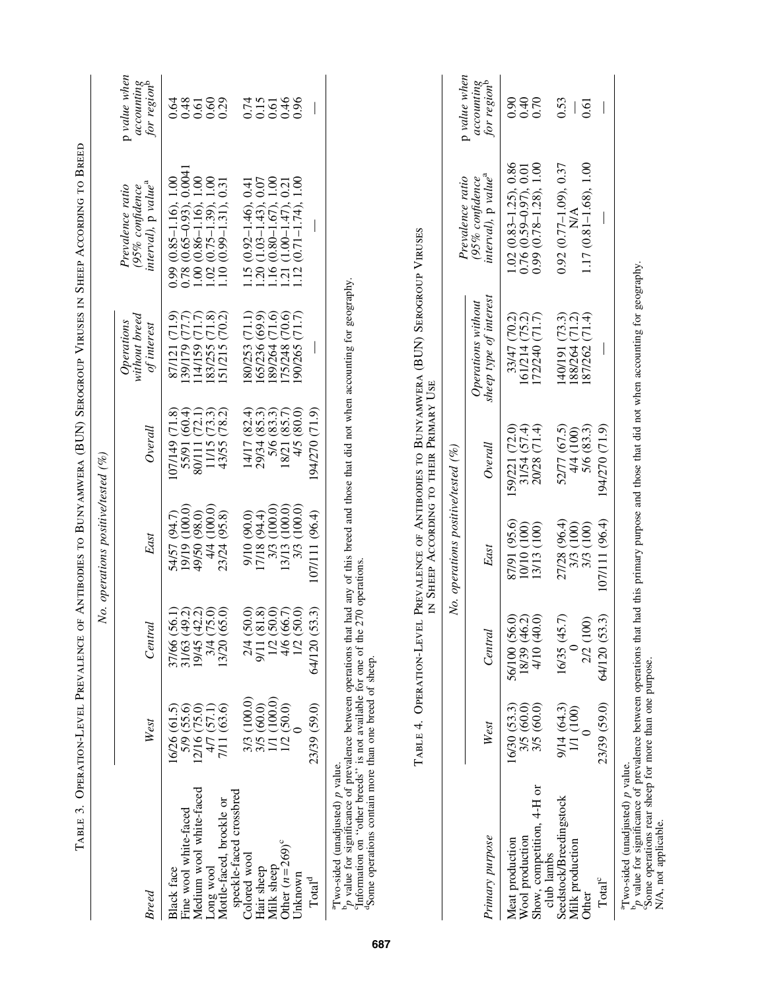|                                                                                                                                                                                                                                                                                                                                                |                                                                                                                  |                                                                                         | No. operations positive/tested (%)                                                                       |                                                                                            |                                                                                                       |                                                                                                                                                                                |                                                       |
|------------------------------------------------------------------------------------------------------------------------------------------------------------------------------------------------------------------------------------------------------------------------------------------------------------------------------------------------|------------------------------------------------------------------------------------------------------------------|-----------------------------------------------------------------------------------------|----------------------------------------------------------------------------------------------------------|--------------------------------------------------------------------------------------------|-------------------------------------------------------------------------------------------------------|--------------------------------------------------------------------------------------------------------------------------------------------------------------------------------|-------------------------------------------------------|
| <b>Breed</b>                                                                                                                                                                                                                                                                                                                                   | West                                                                                                             | Central                                                                                 | East                                                                                                     | Overall                                                                                    | without breed<br>Operations<br>of interest                                                            | interval), p value <sup>a</sup><br>Prevalence ratio<br>$(95%$ confidence                                                                                                       | p value when<br>accounting<br>for region <sup>b</sup> |
| Medium wool white-faced<br>Mottle-faced, brockle or<br>Fine wool white-faced<br>Long wool<br>Black face                                                                                                                                                                                                                                        | 12/16 (75.0)<br>4/7 (57.1)<br>7/11 (63.6)<br>5/9 (55.6)<br>$16/26$ (61.5)                                        | 75.0)<br>(65.0)<br>56.1)<br>42.2)<br>49.2)<br>13/20 (<br>19/45<br>3/4<br>37/66<br>31/63 | 4/4 (100.0)<br>(100.0)<br>(98.0)<br>23/24 (95.8)<br>54/57 (94.7)<br>19/19<br>49/50                       | 55/91 (60.4)<br>107/149 (71.8)<br>(73.3)<br>(78.2)<br>(72.1)<br>11/15<br>80/111<br>43/55   | 87/121 (71.9)<br>139/179 (77.7)<br>(70.2)<br>(71.7)<br>(71.8)<br>14/159<br>83/255<br>51/215<br>39/179 | $\begin{array}{c} 0.99 & (0.85 - 1.16), 1.00 \\ 0.78 & (0.65 - 0.93), 0.0041 \end{array}$<br>$1.00$ (0.86-1.16), 1.00<br>1.02 (0.75-1.39), 1.00<br>1.10 (0.99-1.31), 0.31      | 0.48<br>0.60<br>0.29<br>0.61                          |
| speckle-faced crossbred<br>Other $(n = 269)^c$<br>Colored wool<br>Milk sheep<br>Hair sheep<br>Unknown<br>Total <sup>d</sup>                                                                                                                                                                                                                    | $\begin{array}{c} 3/3 \ (100.0) \\ 3/5 \ (60.0) \\ 1/1 \ (100.0) \\ 1/2 \ (50.0) \\ \end{array}$<br>23/39 (59.0) | 50.0<br>64/120 (53.3)<br>81.8)<br>50.0<br>50.0<br>66.7)<br>242<br>$\frac{4}{2}$<br>9/11 | (100.0)<br>(100.0)<br>(100.0)<br>(90.0)<br>17/18 (94.4)<br>107/111 (96.4)<br>9/10<br>3/3<br>13/13<br>3/3 | 194/270 (71.9)<br>4/5 (80.0)<br>14/17 (82.4)<br>29/34 (85.3)<br>5/6 (83.3)<br>18/21 (85.7) | (70.6)<br>90/265 (71.7)<br>(71.1)<br>65/236 (69.9)<br>(71.6)<br>89/264<br>75/248<br>80/253            | $(0.80 - 1.67), 1.00$<br>$(0.71 - 1.74), 1.00$<br>$(0.92 - 1.46), 0.41$<br>(1.03-1.43), 0.07<br>$(1.00 - 1.47), 0.21$<br>$-16$<br>$\frac{20}{ }$<br>$\frac{1.21}{1.12}$<br>115 | 0.15<br>$0.48$<br>$0.36$<br>0.74                      |
| $\mathbb{P}_p$ value for significance of prevalence between operations that had any of this breed and those that did not when accounting for geography.<br>Information on "other breeds" is not available for one of the<br><sup>d</sup> Some operations contain more than one breed of sheep.<br><sup>a</sup> Two-sided (unadjusted) p value. |                                                                                                                  |                                                                                         | IN SHEEP ACCORDING TO THEIR PRIMARY USE<br>270 operations                                                |                                                                                            | TABLE 4. OPERATION-LEVEL PREVALENCE OF ANTIBODIES TO BUNYAMWERA (BUN) SEROGROUP VIRUSES               |                                                                                                                                                                                |                                                       |
|                                                                                                                                                                                                                                                                                                                                                |                                                                                                                  |                                                                                         | No. operations positive/tested (%)                                                                       |                                                                                            |                                                                                                       | Prevalence ratio                                                                                                                                                               | p value when                                          |
| Primary purpose                                                                                                                                                                                                                                                                                                                                | West                                                                                                             | $\mathit{Central}$                                                                      | East                                                                                                     | Overall                                                                                    | sheep type of interest<br>Operations without                                                          | $interval$ , p value <sup>a</sup><br>$(95%$ confidence                                                                                                                         | accounting<br>for region <sup>b</sup>                 |
| Show, competition, 4-H or<br>Wool production<br>Meat production                                                                                                                                                                                                                                                                                | $16/30$ (53.3)<br>3/5 (60.0)<br>3/5 (60.0)                                                                       | 56/100 (56.0)<br>18/39 (46.2)<br>4/10 (40.0)                                            | 87/91 (95.6)<br>10/10 (100)<br>13/13 (100)                                                               | 159/221 (72.0)<br>31/54 (57.4)<br>(71.4)<br>20/28                                          | 161/214 (75.2)<br>33/47 (70.2)<br>172/240 (71.7)                                                      | 0.86<br>$0.99(0.78 - 1.28), 1.00$<br>$1.02$ (0.83-1.25), 0.86<br>0.76 (0.59-0.97), 0.01                                                                                        | 0.40<br>0.90<br>0.70                                  |
| Seedstock/Breedingstock<br>Milk production<br>club lambs<br>Other                                                                                                                                                                                                                                                                              | 9/14 (64.3)<br>1/1 (100)                                                                                         | 16/35(45.7)<br>2/2 (100)                                                                | 27/28 (96.4)<br>3/3 (100)<br>(100)<br>$\frac{3}{3}$                                                      | 52/77 (67.5)<br>4/4 (100)<br>(83.3)<br>5/6(                                                | 140/191 (73.3)<br>188/264 (71.2)<br>87/262 (71.4)                                                     | $1.17(0.81 - 1.68), 1.00$<br>$0.92(0.77 - 1.09), 0.37$                                                                                                                         | 0.53<br>0.61                                          |
| Total <sup>c</sup>                                                                                                                                                                                                                                                                                                                             | 23/39 (59.0)                                                                                                     | 64/120 (53.3)                                                                           | 107/111 (96.4)                                                                                           | 194/270 (71.9)                                                                             |                                                                                                       |                                                                                                                                                                                |                                                       |

Table 3. Operation-Level Prevalence of Antibodies to Bunyamwera (BUN) Serogroup Viruses in Sheep According to Breed

TABLE 3. OPERATION-LEVEL PREVALENCE OF ANTIBODIES TO BUNYAMWERA (BUN) SEROGROUP VIRUSES IN SHEEP ACCORDING TO BREED

 ${}^{9}$ Two-sided (unadjusted) p value.<br> ${}^{9}$ p value for significance of prevalence between operations that had this primary purpose and those that did not when accounting for geography.<br>Some operations rear sheep for more aTwo-sided (unadjusted) *p* value. b*p* value for significance of prevalence between operations that had this primary purpose and those that did not when accounting for geography. cSome operations rear sheep for more than one purpose.

N/A, not applicable.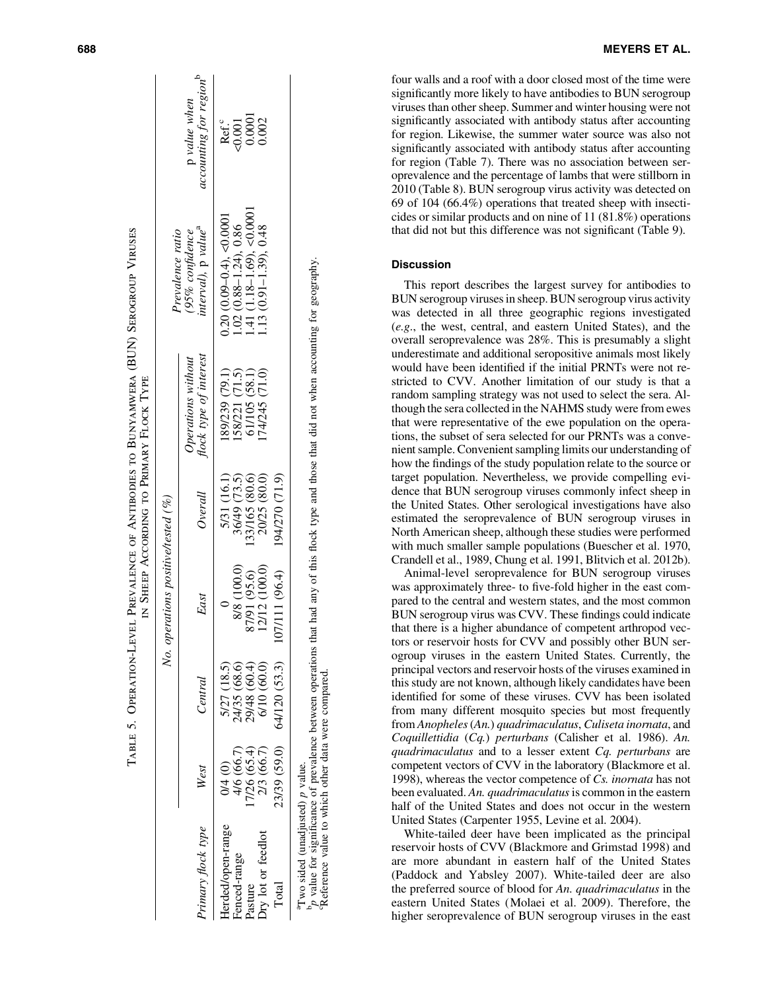|                    |              |                                             | No. operations positive/tested (%) |                             |                                              |                                                                                   |                                                    |
|--------------------|--------------|---------------------------------------------|------------------------------------|-----------------------------|----------------------------------------------|-----------------------------------------------------------------------------------|----------------------------------------------------|
| Primary flock type | West         | Central                                     | East                               | Overall                     | Operations without<br>flock type of interest | $(95\%$ confidence<br>interval), p value <sup>a</sup><br>Prevalence ratio         | accounting for region <sup>b</sup><br>p value when |
| Herded/open-range  | $0/4$ $(0)$  |                                             |                                    |                             | (1.6/1) 627681                               |                                                                                   |                                                    |
| Fenced-range       | 4/6 (66.7)   |                                             | 8/8 (100.0)                        | 5/31 (16.1)<br>36/49 (73.5) |                                              |                                                                                   |                                                    |
| Pasture            | 7/26 (65.4)  | 5/27 (18.5)<br>24/35 (68.6)<br>29/48 (60.4) | 87/91 (95.6)                       | 133/165 (80.6)              | 158/221 (71.5)<br>61/105 (58.1)              | $0.20$ (0.09-0.4), <0.0001<br>1.02 (0.88-1.24), 0.86<br>1.41 (1.18-1.69), <0.0001 | $R$ ef."<br>$0.0010.00010.0001$                    |
| Dry lot or feedlot | 2/3 (66.7)   | 6/10 (60.0)                                 | 2/12 (100.0)                       | 20/25 (80.0)                | 74/245 (71.0)                                | $1.13(0.91 - 1.39), 0.48$                                                         |                                                    |
| Total              | 23/39 (59.0) | 64/120 (53.3)                               | 107/111 (96.4)                     | 194/270 (71.9)              |                                              |                                                                                   |                                                    |

Table 5. Operation-Level Prevalence of Antibodies to Bunyamwera (BUN) Serogroup Viruses

TABLE 5. OPERATION-LEVEL PREVALENCE OF ANTIBODIES TO BUNYAMWERA (BUN) SEROGROUP VIRUSES

*p* value for significance of prevalence between operations that had any of this flock type and those that did not when accounting for geography. geography tor not when accounting that did those flock type and  $\sigma$  this  $\sum_{i=1}^{n}$  $\mu$  value for significance of prevalence between operations that had<br>Feeference value to which other data were compared. cReference value to which other data were compared.

688 MEYERS ET AL.

four walls and a roof with a door closed most of the time were significantly more likely to have antibodies to BUN serogroup viruses than other sheep. Summer and winter housing were not significantly associated with antibody status after accounting for region. Likewise, the summer water source was also not significantly associated with antibody status after accounting for region (Table 7). There was no association between seroprevalence and the percentage of lambs that were stillborn in 2010 (Table 8). BUN serogroup virus activity was detected on 69 of 104 (66.4%) operations that treated sheep with insecticides or similar products and on nine of 11 (81.8%) operations that did not but this difference was not significant (Table 9).

**Discussion** 

This report describes the largest survey for antibodies to BUN serogroup viruses in sheep. BUN serogroup virus activity was detected in all three geographic regions investigated (*e.g*., the west, central, and eastern United States), and the overall seroprevalence was 28%. This is presumably a slight underestimate and additional seropositive animals most likely would have been identified if the initial PRNTs were not restricted to CVV. Another limitation of our study is that a random sampling strategy was not used to select the sera. Although the sera collected in the NAHMS study were from ewes that were representative of the ewe population on the operations, the subset of sera selected for our PRNTs was a convenient sample. Convenient sampling limits our understanding of how the findings of the study population relate to the source or target population. Nevertheless, we provide compelling evidence that BUN serogroup viruses commonly infect sheep in the United States. Other serological investigations have also estimated the seroprevalence of BUN serogroup viruses in North American sheep, although these studies were performed with much smaller sample populations (Buescher et al. 1970, Crandell et al., 1989, Chung et al. 1991, Blitvich et al. 2012b).

Animal-level seroprevalence for BUN serogroup viruses was approximately three- to five-fold higher in the east compared to the central and western states, and the most common BUN serogroup virus was CVV. These findings could indicate that there is a higher abundance of competent arthropod vectors or reservoir hosts for CVV and possibly other BUN serogroup viruses in the eastern United States. Currently, the principal vectors and reservoir hosts of the viruses examined in this study are not known, although likely candidates have been identified for some of these viruses. CVV has been isolated from many different mosquito species but most frequently from *Anopheles* (*An.* ) *quadrimaculatus* , *Culiseta inornata*, and *Coquillettidia* (*Cq.* ) *perturbans* (Calisher et al. 1986). *An. quadrimaculatus* and to a lesser extent *Cq. perturbans* are competent vectors of CVV in the laboratory (Blackmore et al. 1998), whereas the vector competence of *Cs. inornata* has not been evaluated. An. quadrimaculatus is common in the eastern half of the United States and does not occur in the western United States (Carpenter 1955, Levine et al. 2004).

White-tailed deer have been implicated as the principal reservoir hosts of CVV (Blackmore and Grimstad 1998) and are more abundant in eastern half of the United States (Paddock and Yabsley 2007). White-tailed deer are also the preferred source of blood for *An. quadrimaculatus* in the eastern United States (Molaei et al. 2009). Therefore, the higher seroprevalence of BUN serogroup viruses in the east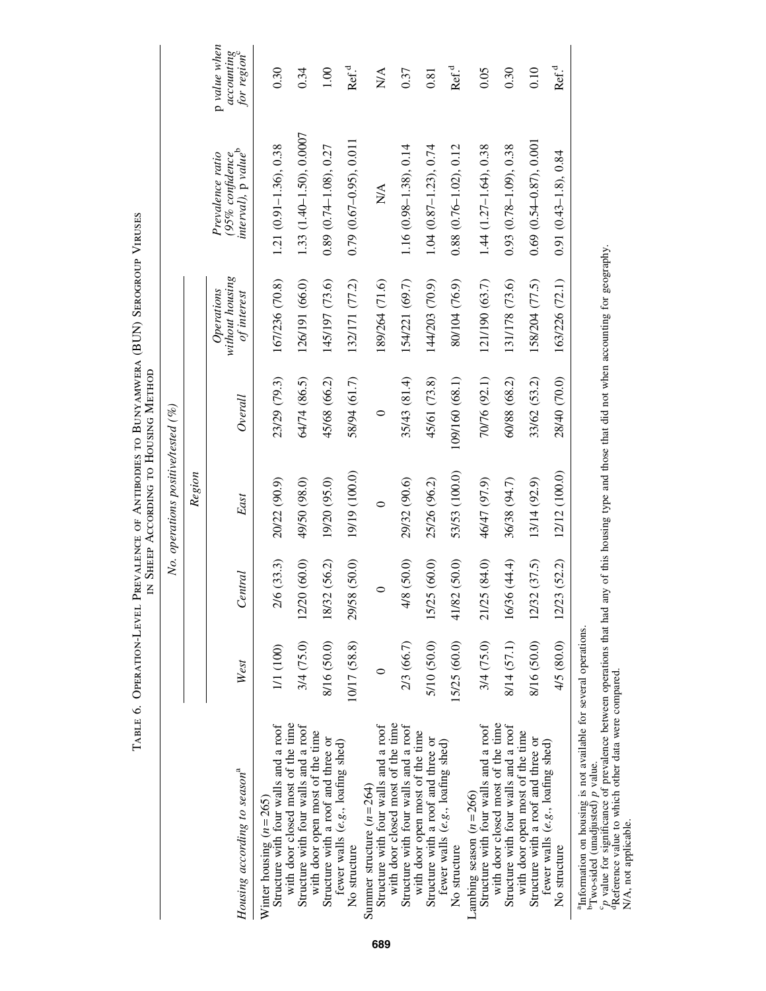TABLE 6. OPERATION-LEVEL PREVALENCE OF ANTIBODIES TO BUNYAMWERA (BUN) SEROGROUP VIRUSES<br>IN SHEEP ACCORDING TO HOUSING METHOD Table 6. Operation-Level Prevalence of Antibodies to Bunyamwera (BUN) Serogroup Viruses in Sheep According to Housing Method

|                                                                           |              |              | No. operations positive/tested (%) |                |                                              |                                                                          |                                                       |
|---------------------------------------------------------------------------|--------------|--------------|------------------------------------|----------------|----------------------------------------------|--------------------------------------------------------------------------|-------------------------------------------------------|
|                                                                           |              |              | Region                             |                |                                              |                                                                          |                                                       |
| Housing according to season <sup>a</sup>                                  | West         | Central      | East                               | Overall        | without housing<br>Operations<br>of interest | interval), p value <sup>b</sup><br>Prevalence ratio<br>$(95%$ confidence | p value when<br>accounting<br>for region <sup>c</sup> |
| Structure with four walls and a roof<br>Winter housing $(n = 265)$        | 1/1 (100)    | 2/6 (33.3)   | 20/22 (90.9)                       | 23/29 (79.3)   | 167/236 (70.8)                               | $1.21(0.91 - 1.36), 0.38$                                                | 0.30                                                  |
| with door closed most of the time<br>Structure with four walls and a roof | 3/4 (75.0)   | 12/20 (60.0) | 49/50 (98.0)                       | 64/74 (86.5)   | 126/191 (66.0)                               | 1.33 (1.40-1.50), 0.0007                                                 | 0.34                                                  |
| with door open most of the time<br>Structure with a roof and three or     | 8/16 (50.0)  | 18/32 (56.2) | 19/20 (95.0)                       | 45/68 (66.2)   | 145/197 (73.6)                               | $0.89(0.74 - 1.08), 0.27$                                                | 1.00                                                  |
| fewer walls (e.g., loafing shed)<br>No structure                          | 10/17 (58.8) | 29/58 (50.0) | 19/19 (100.0)                      | 58/94 (61.7)   | 132/171 (77.2)                               | $0.79(0.67-0.95), 0.011$                                                 | Ref. <sup>d</sup>                                     |
| Structure with four walls and a roof<br>Summer structure $(n = 264)$      |              |              | $\bullet$                          |                | 189/264 (71.6)                               | $\sum_{i=1}^{n}$                                                         | $\stackrel{\triangle}{N}$                             |
| with door closed most of the time<br>Structure with four walls and a roof | 2/3 (66.7)   | 4/8 (50.0)   | 29/32 (90.6)                       | 35/43 (81.4)   | 154/221 (69.7)                               | $1.16(0.98 - 1.38), 0.14$                                                | 0.37                                                  |
| with door open most of the time<br>Structure with a roof and three or     | 5/10 (50.0)  | 15/25 (60.0) | 25/26 (96.2)                       | 45/61 (73.8)   | 144/203 (70.9)                               | $1.04(0.87 - 1.23), 0.74$                                                | 0.81                                                  |
| fewer walls (e.g., loafing shed)<br>No structure                          | 15/25 (60.0) | 41/82 (50.0) | 53/53 (100.0)                      | 109/160 (68.1) | 80/104 (76.9)                                | $0.88$ (0.76-1.02), 0.12                                                 | Ref. <sup>d</sup>                                     |
| Structure with four walls and a roof<br>Lambing season $(n=266)$          | 3/4 (75.0)   | 21/25 (84.0) | 46/47 (97.9)                       | 70/76 (92.1)   | 121/190 (63.7)                               | $1.44$ $(1.27 - 1.64)$ , 0.38                                            | 0.05                                                  |
| with door closed most of the time<br>Structure with four walls and a roof | 8/14 (57.1)  | 16/36 (44.4) | 36/38 (94.7)                       | 60/88 (68.2)   | 131/178 (73.6)                               | $0.93(0.78 - 1.09), 0.38$                                                | 0.30                                                  |
| with door open most of the time<br>Structure with a roof and three or     | 8/16 (50.0)  | 12/32 (37.5) | 13/14 (92.9)                       | 33/62 (53.2)   | 158/204 (77.5)                               | $0.69(0.54 - 0.87), 0.001$                                               | 0.10                                                  |
| fewer walls (e.g., loafing shed)<br>No structure                          | 4/5 (80.0)   | 12/23 (52.2) | 12/12 (100.0)                      | 28/40 (70.0)   | 163/226 (72.1)                               | $0.91(0.43 - 1.8), 0.84$                                                 | Ref <sup>d</sup>                                      |
| aformation on bound was in not over the formation opposition              |              |              |                                    |                |                                              |                                                                          |                                                       |

aInformation on housing is not available for several operations. bTwo-sided (unadjusted) *p* value.

N/A, not applicable.

"Information on housing is not available for several operations.<br>"Two-sided (unadjusted) *p* value.<br>"p value for significance of prevalence between operations that had any of this housing type and those that did not when a c*p* value for significance of prevalence between operations that had any of this housing type and those that did not when accounting for geography. dReference value to which other data were compared.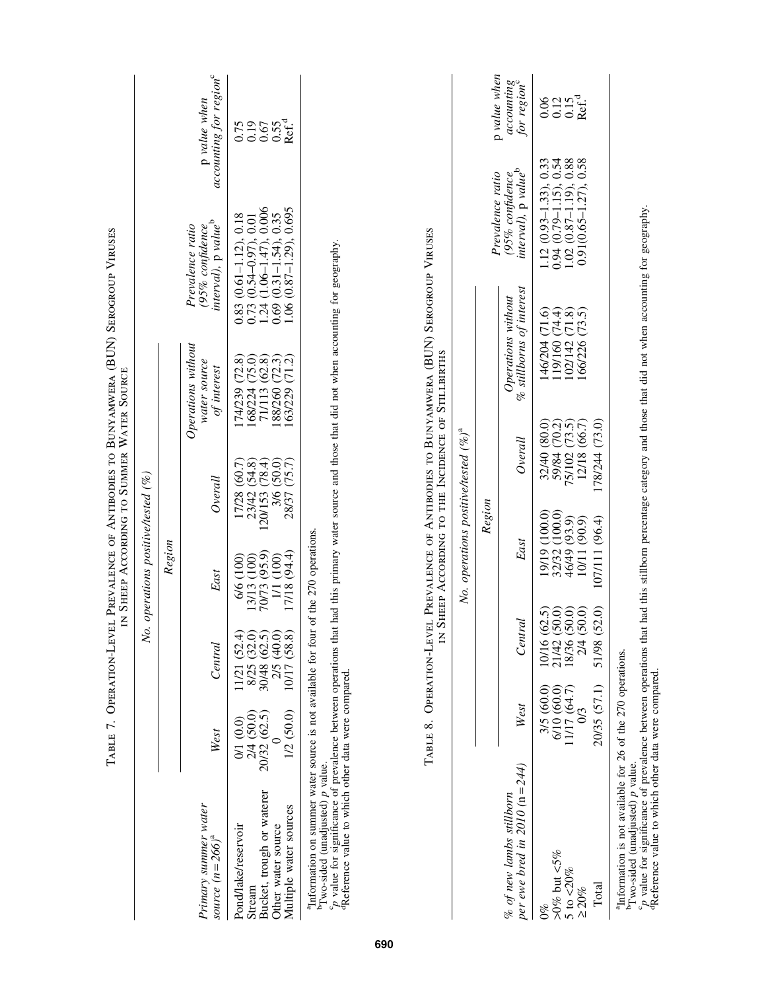|                                                                                                                                                                                                                                                                                                                                               |                                                                                         |                                                                                          | TABLE 7. OPERATION-LEVEL PREVALENCE OF ANTIBODIES TO BUNYAMWERA (BUN) SEROGROUP VIRUSES<br>IN SHEEP ACCORDING TO SUMMER WATER SOURCE |                                                                              |              |                                                                                                       |                                                                                                                                                                                |                                                    |
|-----------------------------------------------------------------------------------------------------------------------------------------------------------------------------------------------------------------------------------------------------------------------------------------------------------------------------------------------|-----------------------------------------------------------------------------------------|------------------------------------------------------------------------------------------|--------------------------------------------------------------------------------------------------------------------------------------|------------------------------------------------------------------------------|--------------|-------------------------------------------------------------------------------------------------------|--------------------------------------------------------------------------------------------------------------------------------------------------------------------------------|----------------------------------------------------|
|                                                                                                                                                                                                                                                                                                                                               |                                                                                         |                                                                                          | No. operations positive/tested (%)                                                                                                   |                                                                              |              |                                                                                                       |                                                                                                                                                                                |                                                    |
|                                                                                                                                                                                                                                                                                                                                               |                                                                                         |                                                                                          | Region                                                                                                                               |                                                                              |              |                                                                                                       |                                                                                                                                                                                |                                                    |
| Primary summer water<br>source (n = 266) <sup>a</sup>                                                                                                                                                                                                                                                                                         | West                                                                                    | Central                                                                                  | East                                                                                                                                 | Overall                                                                      |              | Operations without<br>water source<br>$of$ interest                                                   | $(95\%$ confidence<br>interval), p value <sup>b</sup><br>Prevalence ratio                                                                                                      | accounting for region <sup>c</sup><br>p value when |
| Bucket, trough or waterer<br>Multiple water sources<br>Pond/lake/reservoir<br>Other water source<br>Stream                                                                                                                                                                                                                                    | 1/2 (50.0)<br>$\begin{array}{c} 0/1\ (0.0) \\ 2/4\ (50.0) \\ 20/32\ (62.5) \end{array}$ | 11/21 (52.4)<br>8/25 (32.0)<br>8/25 (62.5)<br>30/48 (62.5)<br>2/5 (40.0)<br>10/17 (58.8) | 17/18 (94.4)<br>$(95.9)$<br>$(100)$<br>(100)<br>6/6 (100)<br>13/13 (<br>1/1                                                          | 23/42 (54.8)<br>120/153 (78.4)<br>3/6 (50.0)<br>28/37 (75.7)<br>17/28 (60.7) |              | 168/224 (75.0)<br>71/113 (62.8)<br>188/260 (72.3)<br>163/229 (71.2)<br>$(74/239)$ $(72.8)$<br>168/224 | $\begin{array}{c} 0.83 \ (0.61-1.12),\ 0.18 \\ 0.73 \ (0.54-0.97),\ 0.01 \\ 1.24 \ (1.06-1.47),\ 0.006 \\ 0.69 \ (0.31-1.54),\ 0.35 \\ 1.06 \ (0.87-1.29),\ 0.695 \end{array}$ | $\frac{0.67}{0.55}$<br>Ref. <sup>d</sup><br>0.19   |
| $\varphi$ value for significance of prevalence between operations that had this primary water source and those that did not when accounting for geography.<br><sup>a</sup> Information on summer water source is not available for four<br><sup>d</sup> Reference value to which other data were compared<br>PTwo-sided (unadjusted) p value. |                                                                                         |                                                                                          | TABLE 8. OPERATION-LEVEL PREVALENCE OF ANTIBODIES TO BUNYAMWERA (BUN) SEROGROUP VIRUSES<br>of the 270 operations.                    |                                                                              |              |                                                                                                       |                                                                                                                                                                                |                                                    |
|                                                                                                                                                                                                                                                                                                                                               |                                                                                         | $\mathsf{K}$                                                                             | SHEEP ACCORDING TO THE INCIDENCE OF STILLBIRTHS                                                                                      |                                                                              |              |                                                                                                       |                                                                                                                                                                                |                                                    |
|                                                                                                                                                                                                                                                                                                                                               |                                                                                         |                                                                                          |                                                                                                                                      | No. operations positive/tested (%) <sup>a</sup>                              |              |                                                                                                       |                                                                                                                                                                                |                                                    |
|                                                                                                                                                                                                                                                                                                                                               |                                                                                         |                                                                                          |                                                                                                                                      | Region                                                                       |              |                                                                                                       | Prevalence ratio                                                                                                                                                               | p value when                                       |
| per ewe bred in 2010 ( $n = 244$ )<br>$\%$ of new lambs stillborn                                                                                                                                                                                                                                                                             | West                                                                                    | Central                                                                                  | East                                                                                                                                 |                                                                              | Overall      | $%$ stillborns of interest<br>Operations without                                                      | $(95\%$ confidence<br>interval), p value <sup>b</sup>                                                                                                                          | accounting<br>for region <sup>c</sup>              |
| č                                                                                                                                                                                                                                                                                                                                             | $\gamma$ is $\ell \cap \alpha$                                                          | 1011C                                                                                    | ر ج                                                                                                                                  | $10110 \times 1000$                                                          | salas son so | こここ ていごう                                                                                              | UNION VOID PLA                                                                                                                                                                 | ζ<br>Ο                                             |

|                                                                                                             |                           |                                                             | Region                                                         |                                                               |                                                                      |                                                                                                                                        |                                       |
|-------------------------------------------------------------------------------------------------------------|---------------------------|-------------------------------------------------------------|----------------------------------------------------------------|---------------------------------------------------------------|----------------------------------------------------------------------|----------------------------------------------------------------------------------------------------------------------------------------|---------------------------------------|
| per ewe bred in $2010$ ( $n = 244$ )<br>$\%$ of new lambs stillborn                                         | West                      | Central                                                     | East                                                           | Overall                                                       | Operations without<br>% stillborns of interest                       | Prevalence ratio<br>(95% confidence<br>interval), p value <sup>b</sup>                                                                 | $p$ value wi<br>accounti<br>for regio |
| $\mathbb{S}^0$                                                                                              |                           |                                                             |                                                                |                                                               |                                                                      |                                                                                                                                        |                                       |
|                                                                                                             | 3/5 (60.0)<br>6/10 (60.0) |                                                             |                                                                |                                                               |                                                                      |                                                                                                                                        |                                       |
| $>0\%$ but $< 5\%$<br>5 to $< 20\%$                                                                         | (64.7) (1/17)             |                                                             |                                                                |                                                               | 146/204 (71.6)<br>119/160 (74.4)<br>102/142 (71.8)<br>166/226 (73.5) |                                                                                                                                        | 82254<br>00154<br>0002                |
| $\geq$ 20%                                                                                                  | 0/3                       | 10/16 (62.5)<br>21/42 (50.0)<br>18/36 (50.0)<br>18/3 (50.0) | 19/19 (100.0)<br>32/32 (100.0)<br>46/49 (93.9)<br>10/11 (90.9) | 32/40 (80.0)<br>59/84 (70.2)<br>75/102 (73.5)<br>12/18 (66.7) |                                                                      | $\begin{array}{c} 1.12\ (0.93-1.33),\ 0.33\\ 0.94\ (0.79-1.15),\ 0.54\\ 1.02\ (0.87-1.19),\ 0.88\\ 0.91(0.65-1.27),\ 0.58 \end{array}$ |                                       |
| Total                                                                                                       | $20/35(57.1)$ 51/         | 98 (52.0)                                                   | 107/111 (96.4)                                                 | 78/244 (73.0)                                                 |                                                                      |                                                                                                                                        |                                       |
| <sup>a</sup> Information is not available for 26 of the 270 operations<br>erland of the said he his correct |                           |                                                             |                                                                |                                                               |                                                                      |                                                                                                                                        |                                       |

aInformation is not available for 26 of the 270 operations. bTwo-sided (unadjusted) *p* value.

"Two-sided (unadjusted) p value.<br>"p value for significance of prevalence between operations that had this stillborn percentage category and those that did not when accounting for geography.<br>"Reference value to which other c*p* value for significance of prevalence between operations that had this stillborn percentage category and those that did not when accounting for geography. dReference value to which other data were compared.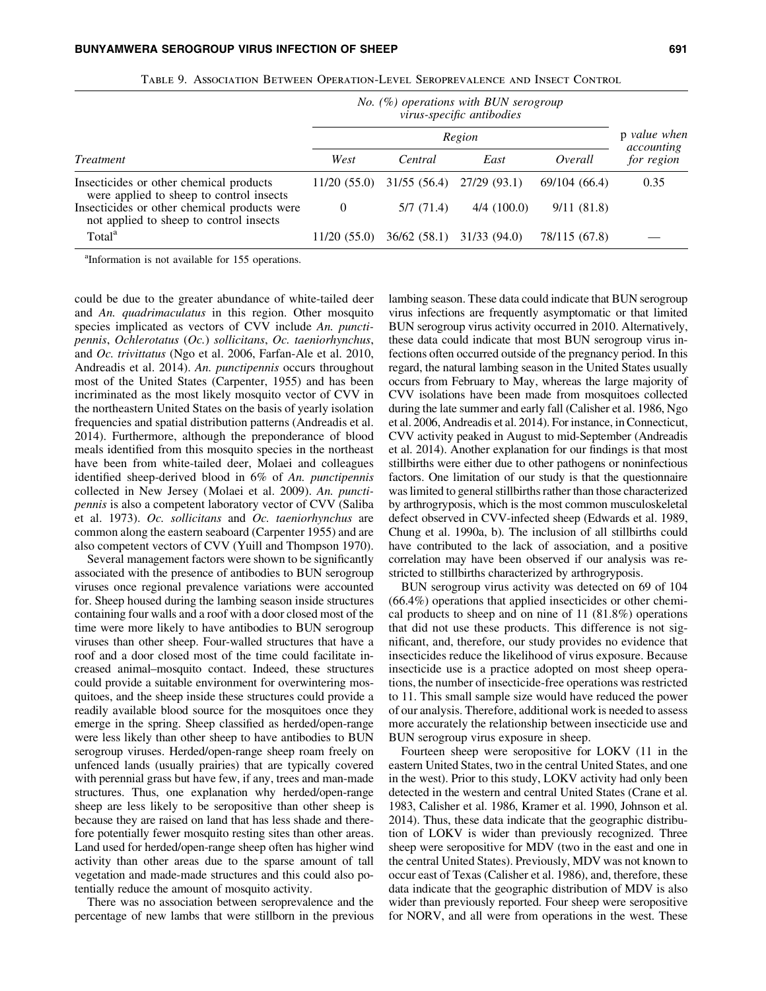|                                                                                         |             |             | No. (%) operations with BUN serogroup<br>virus-specific antibodies |               |                            |
|-----------------------------------------------------------------------------------------|-------------|-------------|--------------------------------------------------------------------|---------------|----------------------------|
|                                                                                         |             |             | Region                                                             |               | p value when<br>accounting |
| <i>Treatment</i>                                                                        | West        | Central     | East                                                               | Overall       | for region                 |
| Insecticides or other chemical products<br>were applied to sheep to control insects     | 11/20(55.0) | 31/55(56.4) | 27/29 (93.1)                                                       | 69/104 (66.4) | 0.35                       |
| Insecticides or other chemical products were<br>not applied to sheep to control insects | $\Omega$    | 5/7(71.4)   | 4/4(100.0)                                                         | 9/11(81.8)    |                            |
| Total <sup>a</sup>                                                                      | 11/20(55.0) | 36/62(58.1) | 31/33 (94.0)                                                       | 78/115 (67.8) |                            |

Table 9. Association Between Operation-Level Seroprevalence and Insect Control

<sup>a</sup>Information is not available for 155 operations.

could be due to the greater abundance of white-tailed deer and *An. quadrimaculatus* in this region. Other mosquito species implicated as vectors of CVV include *An. punctipennis*, *Ochlerotatus* (*Oc.*) *sollicitans*, *Oc. taeniorhynchus*, and *Oc. trivittatus* (Ngo et al. 2006, Farfan-Ale et al. 2010, Andreadis et al. 2014). *An. punctipennis* occurs throughout most of the United States (Carpenter, 1955) and has been incriminated as the most likely mosquito vector of CVV in the northeastern United States on the basis of yearly isolation frequencies and spatial distribution patterns (Andreadis et al. 2014). Furthermore, although the preponderance of blood meals identified from this mosquito species in the northeast have been from white-tailed deer, Molaei and colleagues identified sheep-derived blood in 6% of *An. punctipennis* collected in New Jersey (Molaei et al. 2009). *An. punctipennis* is also a competent laboratory vector of CVV (Saliba et al. 1973). *Oc. sollicitans* and *Oc. taeniorhynchus* are common along the eastern seaboard (Carpenter 1955) and are also competent vectors of CVV (Yuill and Thompson 1970).

Several management factors were shown to be significantly associated with the presence of antibodies to BUN serogroup viruses once regional prevalence variations were accounted for. Sheep housed during the lambing season inside structures containing four walls and a roof with a door closed most of the time were more likely to have antibodies to BUN serogroup viruses than other sheep. Four-walled structures that have a roof and a door closed most of the time could facilitate increased animal–mosquito contact. Indeed, these structures could provide a suitable environment for overwintering mosquitoes, and the sheep inside these structures could provide a readily available blood source for the mosquitoes once they emerge in the spring. Sheep classified as herded/open-range were less likely than other sheep to have antibodies to BUN serogroup viruses. Herded/open-range sheep roam freely on unfenced lands (usually prairies) that are typically covered with perennial grass but have few, if any, trees and man-made structures. Thus, one explanation why herded/open-range sheep are less likely to be seropositive than other sheep is because they are raised on land that has less shade and therefore potentially fewer mosquito resting sites than other areas. Land used for herded/open-range sheep often has higher wind activity than other areas due to the sparse amount of tall vegetation and made-made structures and this could also potentially reduce the amount of mosquito activity.

There was no association between seroprevalence and the percentage of new lambs that were stillborn in the previous lambing season. These data could indicate that BUN serogroup virus infections are frequently asymptomatic or that limited BUN serogroup virus activity occurred in 2010. Alternatively, these data could indicate that most BUN serogroup virus infections often occurred outside of the pregnancy period. In this regard, the natural lambing season in the United States usually occurs from February to May, whereas the large majority of CVV isolations have been made from mosquitoes collected during the late summer and early fall (Calisher et al. 1986, Ngo et al. 2006, Andreadis et al. 2014). For instance, in Connecticut, CVV activity peaked in August to mid-September (Andreadis et al. 2014). Another explanation for our findings is that most stillbirths were either due to other pathogens or noninfectious factors. One limitation of our study is that the questionnaire was limited to general stillbirths rather than those characterized by arthrogryposis, which is the most common musculoskeletal defect observed in CVV-infected sheep (Edwards et al. 1989, Chung et al. 1990a, b). The inclusion of all stillbirths could have contributed to the lack of association, and a positive correlation may have been observed if our analysis was restricted to stillbirths characterized by arthrogryposis.

BUN serogroup virus activity was detected on 69 of 104 (66.4%) operations that applied insecticides or other chemical products to sheep and on nine of 11 (81.8%) operations that did not use these products. This difference is not significant, and, therefore, our study provides no evidence that insecticides reduce the likelihood of virus exposure. Because insecticide use is a practice adopted on most sheep operations, the number of insecticide-free operations was restricted to 11. This small sample size would have reduced the power of our analysis. Therefore, additional work is needed to assess more accurately the relationship between insecticide use and BUN serogroup virus exposure in sheep.

Fourteen sheep were seropositive for LOKV (11 in the eastern United States, two in the central United States, and one in the west). Prior to this study, LOKV activity had only been detected in the western and central United States (Crane et al. 1983, Calisher et al. 1986, Kramer et al. 1990, Johnson et al. 2014). Thus, these data indicate that the geographic distribution of LOKV is wider than previously recognized. Three sheep were seropositive for MDV (two in the east and one in the central United States). Previously, MDV was not known to occur east of Texas (Calisher et al. 1986), and, therefore, these data indicate that the geographic distribution of MDV is also wider than previously reported. Four sheep were seropositive for NORV, and all were from operations in the west. These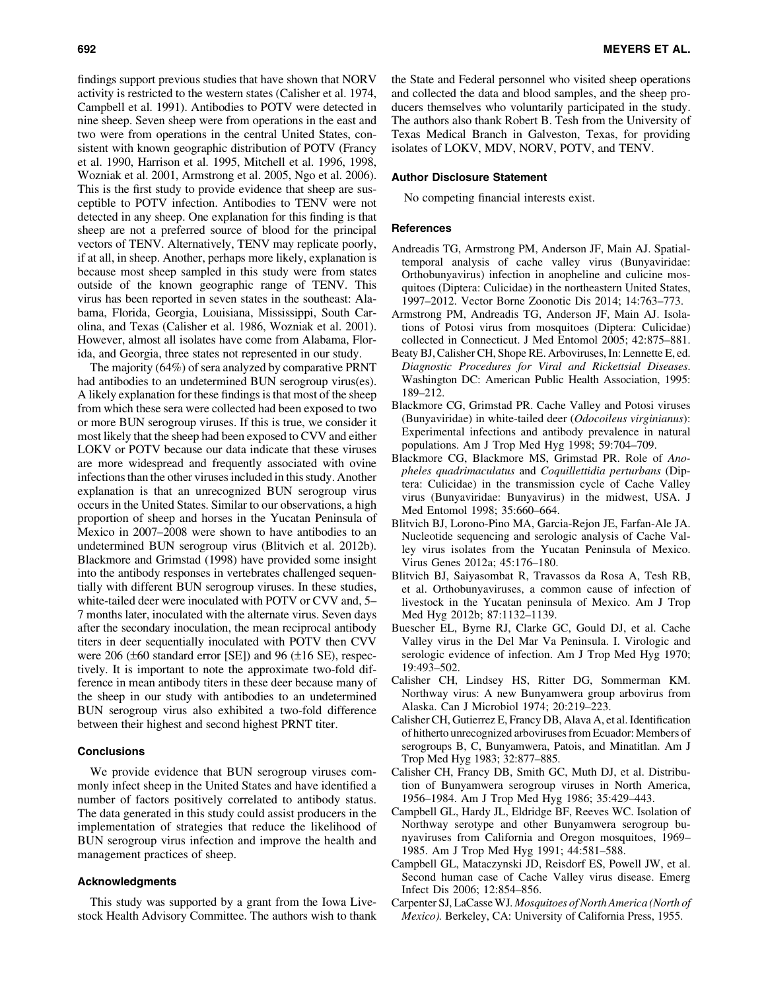findings support previous studies that have shown that NORV activity is restricted to the western states (Calisher et al. 1974, Campbell et al. 1991). Antibodies to POTV were detected in nine sheep. Seven sheep were from operations in the east and two were from operations in the central United States, consistent with known geographic distribution of POTV (Francy et al. 1990, Harrison et al. 1995, Mitchell et al. 1996, 1998, Wozniak et al. 2001, Armstrong et al. 2005, Ngo et al. 2006). This is the first study to provide evidence that sheep are susceptible to POTV infection. Antibodies to TENV were not detected in any sheep. One explanation for this finding is that sheep are not a preferred source of blood for the principal vectors of TENV. Alternatively, TENV may replicate poorly, if at all, in sheep. Another, perhaps more likely, explanation is because most sheep sampled in this study were from states outside of the known geographic range of TENV. This virus has been reported in seven states in the southeast: Alabama, Florida, Georgia, Louisiana, Mississippi, South Carolina, and Texas (Calisher et al. 1986, Wozniak et al. 2001). However, almost all isolates have come from Alabama, Florida, and Georgia, three states not represented in our study.

The majority (64%) of sera analyzed by comparative PRNT had antibodies to an undetermined BUN serogroup virus(es). A likely explanation for these findings is that most of the sheep from which these sera were collected had been exposed to two or more BUN serogroup viruses. If this is true, we consider it most likely that the sheep had been exposed to CVV and either LOKV or POTV because our data indicate that these viruses are more widespread and frequently associated with ovine infections than the other viruses included in this study. Another explanation is that an unrecognized BUN serogroup virus occurs in the United States. Similar to our observations, a high proportion of sheep and horses in the Yucatan Peninsula of Mexico in 2007–2008 were shown to have antibodies to an undetermined BUN serogroup virus (Blitvich et al. 2012b). Blackmore and Grimstad (1998) have provided some insight into the antibody responses in vertebrates challenged sequentially with different BUN serogroup viruses. In these studies, white-tailed deer were inoculated with POTV or CVV and, 5– 7 months later, inoculated with the alternate virus. Seven days after the secondary inoculation, the mean reciprocal antibody titers in deer sequentially inoculated with POTV then CVV were 206 ( $\pm 60$  standard error [SE]) and 96 ( $\pm 16$  SE), respectively. It is important to note the approximate two-fold difference in mean antibody titers in these deer because many of the sheep in our study with antibodies to an undetermined BUN serogroup virus also exhibited a two-fold difference between their highest and second highest PRNT titer.

# **Conclusions**

We provide evidence that BUN serogroup viruses commonly infect sheep in the United States and have identified a number of factors positively correlated to antibody status. The data generated in this study could assist producers in the implementation of strategies that reduce the likelihood of BUN serogroup virus infection and improve the health and management practices of sheep.

## Acknowledgments

This study was supported by a grant from the Iowa Livestock Health Advisory Committee. The authors wish to thank the State and Federal personnel who visited sheep operations and collected the data and blood samples, and the sheep producers themselves who voluntarily participated in the study. The authors also thank Robert B. Tesh from the University of Texas Medical Branch in Galveston, Texas, for providing isolates of LOKV, MDV, NORV, POTV, and TENV.

#### Author Disclosure Statement

No competing financial interests exist.

## References

- Andreadis TG, Armstrong PM, Anderson JF, Main AJ. Spatialtemporal analysis of cache valley virus (Bunyaviridae: Orthobunyavirus) infection in anopheline and culicine mosquitoes (Diptera: Culicidae) in the northeastern United States, 1997–2012. Vector Borne Zoonotic Dis 2014; 14:763–773.
- Armstrong PM, Andreadis TG, Anderson JF, Main AJ. Isolations of Potosi virus from mosquitoes (Diptera: Culicidae) collected in Connecticut. J Med Entomol 2005; 42:875–881.
- Beaty BJ, Calisher CH, Shope RE. Arboviruses, In: Lennette E, ed. *Diagnostic Procedures for Viral and Rickettsial Diseases*. Washington DC: American Public Health Association, 1995: 189–212.
- Blackmore CG, Grimstad PR. Cache Valley and Potosi viruses (Bunyaviridae) in white-tailed deer (*Odocoileus virginianus*): Experimental infections and antibody prevalence in natural populations. Am J Trop Med Hyg 1998; 59:704–709.
- Blackmore CG, Blackmore MS, Grimstad PR. Role of *Anopheles quadrimaculatus* and *Coquillettidia perturbans* (Diptera: Culicidae) in the transmission cycle of Cache Valley virus (Bunyaviridae: Bunyavirus) in the midwest, USA. J Med Entomol 1998; 35:660–664.
- Blitvich BJ, Lorono-Pino MA, Garcia-Rejon JE, Farfan-Ale JA. Nucleotide sequencing and serologic analysis of Cache Valley virus isolates from the Yucatan Peninsula of Mexico. Virus Genes 2012a; 45:176–180.
- Blitvich BJ, Saiyasombat R, Travassos da Rosa A, Tesh RB, et al. Orthobunyaviruses, a common cause of infection of livestock in the Yucatan peninsula of Mexico. Am J Trop Med Hyg 2012b; 87:1132–1139.
- Buescher EL, Byrne RJ, Clarke GC, Gould DJ, et al. Cache Valley virus in the Del Mar Va Peninsula. I. Virologic and serologic evidence of infection. Am J Trop Med Hyg 1970; 19:493–502.
- Calisher CH, Lindsey HS, Ritter DG, Sommerman KM. Northway virus: A new Bunyamwera group arbovirus from Alaska. Can J Microbiol 1974; 20:219–223.
- Calisher CH, Gutierrez E, Francy DB, Alava A, et al. Identification of hitherto unrecognized arboviruses from Ecuador: Members of serogroups B, C, Bunyamwera, Patois, and Minatitlan. Am J Trop Med Hyg 1983; 32:877–885.
- Calisher CH, Francy DB, Smith GC, Muth DJ, et al. Distribution of Bunyamwera serogroup viruses in North America, 1956–1984. Am J Trop Med Hyg 1986; 35:429–443.
- Campbell GL, Hardy JL, Eldridge BF, Reeves WC. Isolation of Northway serotype and other Bunyamwera serogroup bunyaviruses from California and Oregon mosquitoes, 1969– 1985. Am J Trop Med Hyg 1991; 44:581–588.
- Campbell GL, Mataczynski JD, Reisdorf ES, Powell JW, et al. Second human case of Cache Valley virus disease. Emerg Infect Dis 2006; 12:854–856.
- Carpenter SJ, LaCasseWJ. *Mosquitoes of North America (North of Mexico).* Berkeley, CA: University of California Press, 1955.